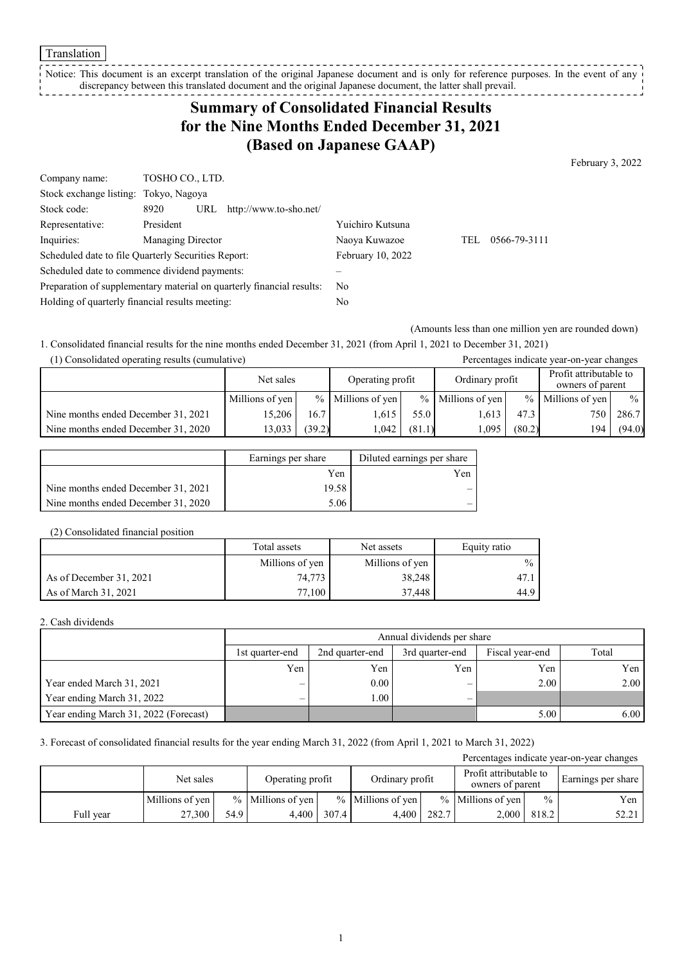#### Translation

Notice: This document is an excerpt translation of the original Japanese document and is only for reference purposes. In the event of any discrepancy between this translated document and the original Japanese document, the latter shall prevail. 

## **Summary of Consolidated Financial Results for the Nine Months Ended December 31, 2021 (Based on Japanese GAAP)**

February 3, 2022

| Company name:                                                         | TOSHO CO., LTD.                               |                   |     |              |
|-----------------------------------------------------------------------|-----------------------------------------------|-------------------|-----|--------------|
| Stock exchange listing: Tokyo, Nagoya                                 |                                               |                   |     |              |
| Stock code:                                                           | 8920<br>URL<br>http://www.to-sho.net/         |                   |     |              |
| Representative:                                                       | President                                     | Yuichiro Kutsuna  |     |              |
| Inquiries:                                                            | Managing Director                             | Naoya Kuwazoe     | TEL | 0566-79-3111 |
| Scheduled date to file Quarterly Securities Report:                   |                                               | February 10, 2022 |     |              |
|                                                                       | Scheduled date to commence dividend payments: |                   |     |              |
| Preparation of supplementary material on quarterly financial results: |                                               | No                |     |              |
| Holding of quarterly financial results meeting:                       |                                               | No                |     |              |

(Amounts less than one million yen are rounded down)

1. Consolidated financial results for the nine months ended December 31, 2021 (from April 1, 2021 to December 31, 2021)

| (1) Consolidated operating results (cumulative) |                               |        |                     |        |                                            |        | Percentages indicate year-on-year changes |               |
|-------------------------------------------------|-------------------------------|--------|---------------------|--------|--------------------------------------------|--------|-------------------------------------------|---------------|
|                                                 | Operating profit<br>Net sales |        | Ordinary profit     |        | Profit attributable to<br>owners of parent |        |                                           |               |
|                                                 | Millions of yen               |        | $%$ Millions of yen |        | $%$ Millions of yen                        |        | $%$ Millions of yen                       | $\frac{0}{0}$ |
| Nine months ended December 31, 2021             | 15.206                        | 16.7   | 1.615               | 55.0   | 1.613                                      | 47.3   | 750 L                                     | 286.7         |
| Nine months ended December 31, 2020             | 13,033                        | (39.2) | 1.042               | (81.1) | 1.095                                      | (80.2) | 194                                       | (94.0)        |

|                                     | Earnings per share | Diluted earnings per share |
|-------------------------------------|--------------------|----------------------------|
|                                     | Yen                | Yen                        |
| Nine months ended December 31, 2021 | 19.58              |                            |
| Nine months ended December 31, 2020 | 5.06               |                            |

#### (2) Consolidated financial position

|                         | Total assets    | Net assets      | Equity ratio  |
|-------------------------|-----------------|-----------------|---------------|
|                         | Millions of yen | Millions of yen | $\frac{0}{0}$ |
| As of December 31, 2021 | 74,773          | 38,248          | 47.1          |
| As of March 31, 2021    | 77,100          | 37.448          | 44.9 I        |

#### 2. Cash dividends

|                                       |                 | Annual dividends per share |     |      |      |  |  |  |  |
|---------------------------------------|-----------------|----------------------------|-----|------|------|--|--|--|--|
|                                       | 1st quarter-end | Total                      |     |      |      |  |  |  |  |
|                                       | Yen             | Yen                        | Yen | Yen  | Yen  |  |  |  |  |
| Year ended March 31, 2021             | –               | 0.00                       | -   | 2.00 | 2.00 |  |  |  |  |
| Year ending March 31, 2022            | –               | 00.1                       |     |      |      |  |  |  |  |
| Year ending March 31, 2022 (Forecast) |                 |                            |     | 5.00 | 6.00 |  |  |  |  |

#### 3. Forecast of consolidated financial results for the year ending March 31, 2022 (from April 1, 2021 to March 31, 2022)

| Percentages indicate year-on-year changes |                 |      |                     |       |                     |       |                                            |               |                    |
|-------------------------------------------|-----------------|------|---------------------|-------|---------------------|-------|--------------------------------------------|---------------|--------------------|
|                                           | Net sales       |      | Operating profit    |       | Ordinary profit     |       | Profit attributable to<br>owners of parent |               | Earnings per share |
|                                           | Millions of yen |      | $%$ Millions of yen |       | $%$ Millions of yen |       | $%$ Millions of yen                        | $\frac{0}{0}$ | Yen                |
| Full year                                 | 27,300          | 54.9 | 4.400               | 307.4 | 4.400               | 282.7 | 2,000                                      | 818.2         | 52.21              |

1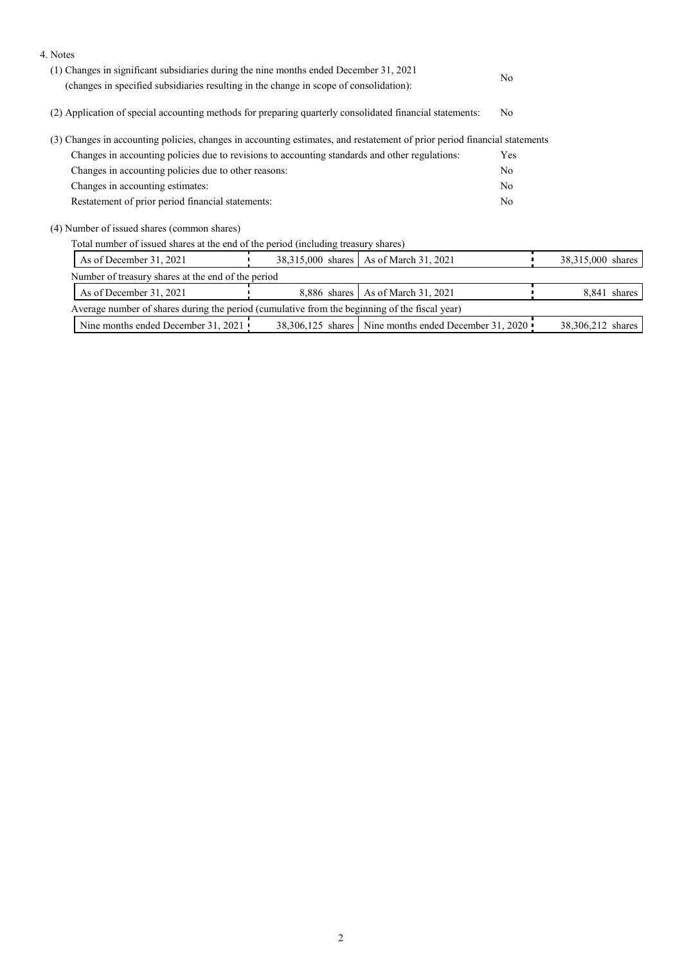| 4. Notes                                                                                                                                                                         |                   |                                                         |                |                   |
|----------------------------------------------------------------------------------------------------------------------------------------------------------------------------------|-------------------|---------------------------------------------------------|----------------|-------------------|
| (1) Changes in significant subsidiaries during the nine months ended December 31, 2021<br>(changes in specified subsidiaries resulting in the change in scope of consolidation): |                   |                                                         | N <sub>0</sub> |                   |
| (2) Application of special accounting methods for preparing quarterly consolidated financial statements:                                                                         |                   |                                                         | N <sub>0</sub> |                   |
| (3) Changes in accounting policies, changes in accounting estimates, and restatement of prior period financial statements                                                        |                   |                                                         |                |                   |
| Changes in accounting policies due to revisions to accounting standards and other regulations:                                                                                   |                   |                                                         | Yes            |                   |
| Changes in accounting policies due to other reasons:                                                                                                                             |                   |                                                         | N <sub>0</sub> |                   |
| Changes in accounting estimates:                                                                                                                                                 |                   |                                                         | N <sub>0</sub> |                   |
| Restatement of prior period financial statements:                                                                                                                                |                   |                                                         | N <sub>0</sub> |                   |
| (4) Number of issued shares (common shares)                                                                                                                                      |                   |                                                         |                |                   |
| Total number of issued shares at the end of the period (including treasury shares)                                                                                               |                   |                                                         |                |                   |
| As of December 31, 2021                                                                                                                                                          | 38,315,000 shares | As of March 31, 2021                                    |                | 38,315,000 shares |
| Number of treasury shares at the end of the period                                                                                                                               |                   |                                                         |                |                   |
| As of December 31, 2021<br>As of March 31, 2021<br>8,886 shares                                                                                                                  |                   |                                                         |                | 8,841 shares      |
| Average number of shares during the period (cumulative from the beginning of the fiscal year)                                                                                    |                   |                                                         |                |                   |
| Nine months ended December 31, 2021                                                                                                                                              |                   | 38,306,125 shares   Nine months ended December 31, 2020 |                | 38,306,212 shares |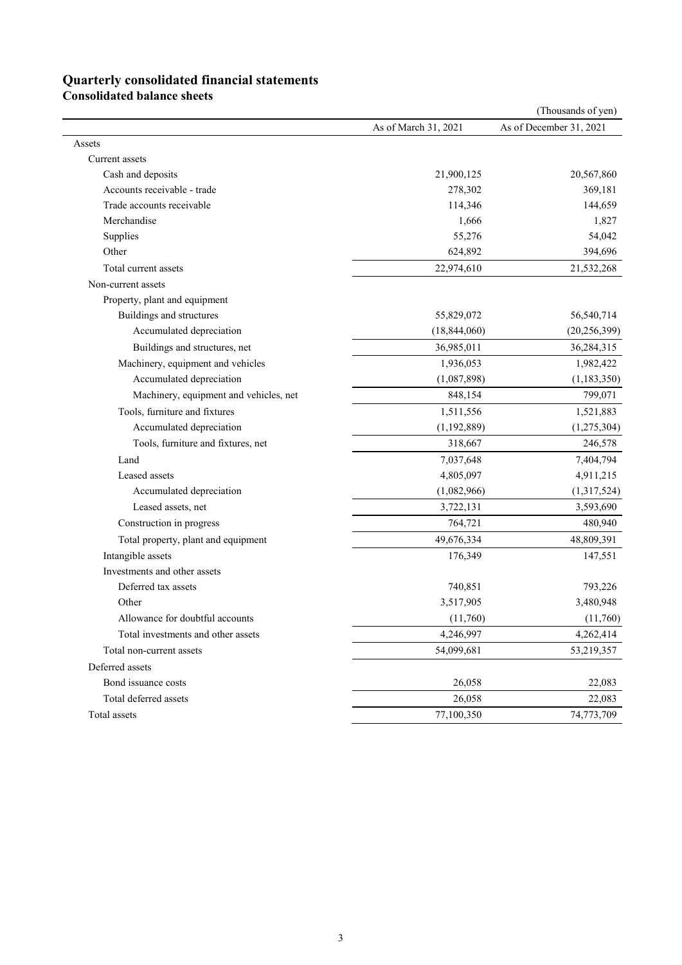# **Quarterly consolidated financial statements**

**Consolidated balance sheets** 

|                                        |                      | (Thousands of yen)      |
|----------------------------------------|----------------------|-------------------------|
|                                        | As of March 31, 2021 | As of December 31, 2021 |
| Assets                                 |                      |                         |
| Current assets                         |                      |                         |
| Cash and deposits                      | 21,900,125           | 20,567,860              |
| Accounts receivable - trade            | 278,302              | 369,181                 |
| Trade accounts receivable              | 114,346              | 144,659                 |
| Merchandise                            | 1,666                | 1,827                   |
| Supplies                               | 55,276               | 54,042                  |
| Other                                  | 624,892              | 394,696                 |
| Total current assets                   | 22,974,610           | 21,532,268              |
| Non-current assets                     |                      |                         |
| Property, plant and equipment          |                      |                         |
| Buildings and structures               | 55,829,072           | 56,540,714              |
| Accumulated depreciation               | (18, 844, 060)       | (20, 256, 399)          |
| Buildings and structures, net          | 36,985,011           | 36,284,315              |
| Machinery, equipment and vehicles      | 1,936,053            | 1,982,422               |
| Accumulated depreciation               | (1,087,898)          | (1, 183, 350)           |
| Machinery, equipment and vehicles, net | 848,154              | 799,071                 |
| Tools, furniture and fixtures          | 1,511,556            | 1,521,883               |
| Accumulated depreciation               | (1,192,889)          | (1,275,304)             |
| Tools, furniture and fixtures, net     | 318,667              | 246,578                 |
| Land                                   | 7,037,648            | 7,404,794               |
| Leased assets                          | 4,805,097            | 4,911,215               |
| Accumulated depreciation               | (1,082,966)          | (1,317,524)             |
| Leased assets, net                     | 3,722,131            | 3,593,690               |
| Construction in progress               | 764,721              | 480,940                 |
| Total property, plant and equipment    | 49,676,334           | 48,809,391              |
| Intangible assets                      | 176,349              | 147,551                 |
| Investments and other assets           |                      |                         |
| Deferred tax assets                    | 740,851              | 793,226                 |
| Other                                  | 3,517,905            | 3,480,948               |
| Allowance for doubtful accounts        | (11,760)             | (11,760)                |
| Total investments and other assets     | 4,246,997            | 4,262,414               |
| Total non-current assets               | 54,099,681           | 53,219,357              |
| Deferred assets                        |                      |                         |
| Bond issuance costs                    | 26,058               | 22,083                  |
| Total deferred assets                  | 26,058               | 22,083                  |
| Total assets                           | 77,100,350           | 74,773,709              |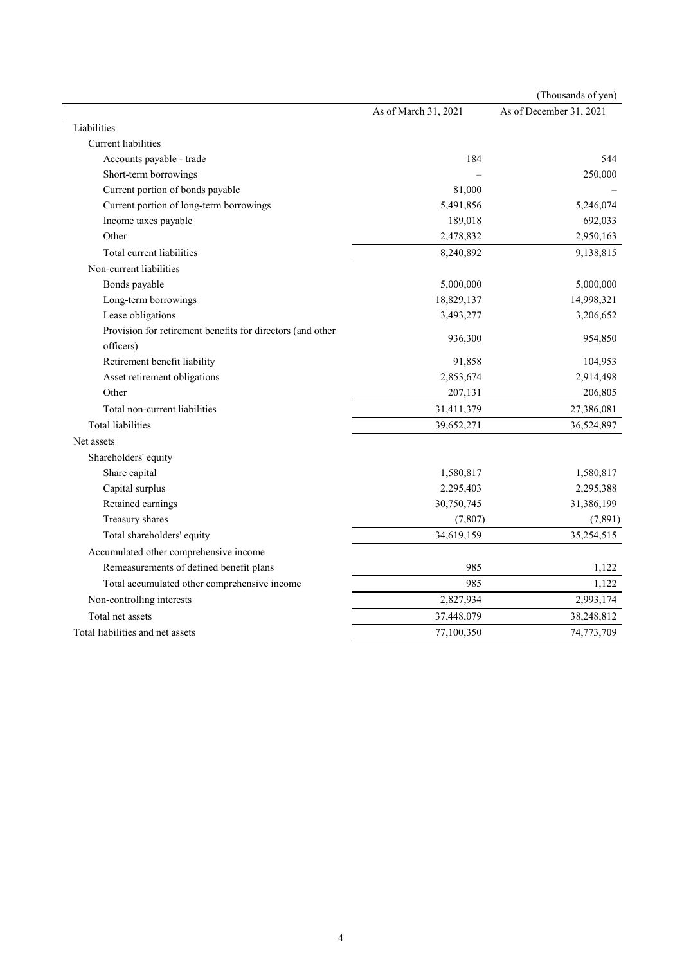|                                                                         |                      | (Thousands of yen)      |
|-------------------------------------------------------------------------|----------------------|-------------------------|
|                                                                         | As of March 31, 2021 | As of December 31, 2021 |
| Liabilities                                                             |                      |                         |
| Current liabilities                                                     |                      |                         |
| Accounts payable - trade                                                | 184                  | 544                     |
| Short-term borrowings                                                   |                      | 250,000                 |
| Current portion of bonds payable                                        | 81,000               |                         |
| Current portion of long-term borrowings                                 | 5,491,856            | 5,246,074               |
| Income taxes payable                                                    | 189,018              | 692,033                 |
| Other                                                                   | 2,478,832            | 2,950,163               |
| Total current liabilities                                               | 8,240,892            | 9,138,815               |
| Non-current liabilities                                                 |                      |                         |
| Bonds payable                                                           | 5,000,000            | 5,000,000               |
| Long-term borrowings                                                    | 18,829,137           | 14,998,321              |
| Lease obligations                                                       | 3,493,277            | 3,206,652               |
| Provision for retirement benefits for directors (and other<br>officers) | 936,300              | 954,850                 |
| Retirement benefit liability                                            | 91,858               | 104,953                 |
| Asset retirement obligations                                            | 2,853,674            | 2,914,498               |
| Other                                                                   | 207,131              | 206,805                 |
| Total non-current liabilities                                           | 31,411,379           | 27,386,081              |
| <b>Total liabilities</b>                                                | 39,652,271           | 36,524,897              |
| Net assets                                                              |                      |                         |
| Shareholders' equity                                                    |                      |                         |
| Share capital                                                           | 1,580,817            | 1,580,817               |
| Capital surplus                                                         | 2,295,403            | 2,295,388               |
| Retained earnings                                                       | 30,750,745           | 31,386,199              |
| Treasury shares                                                         | (7, 807)             | (7, 891)                |
| Total shareholders' equity                                              | 34,619,159           | 35,254,515              |
| Accumulated other comprehensive income                                  |                      |                         |
| Remeasurements of defined benefit plans                                 | 985                  | 1,122                   |
| Total accumulated other comprehensive income                            | 985                  | 1,122                   |
| Non-controlling interests                                               | 2,827,934            | 2,993,174               |
| Total net assets                                                        | 37,448,079           | 38,248,812              |
| Total liabilities and net assets                                        | 77,100,350           | 74,773,709              |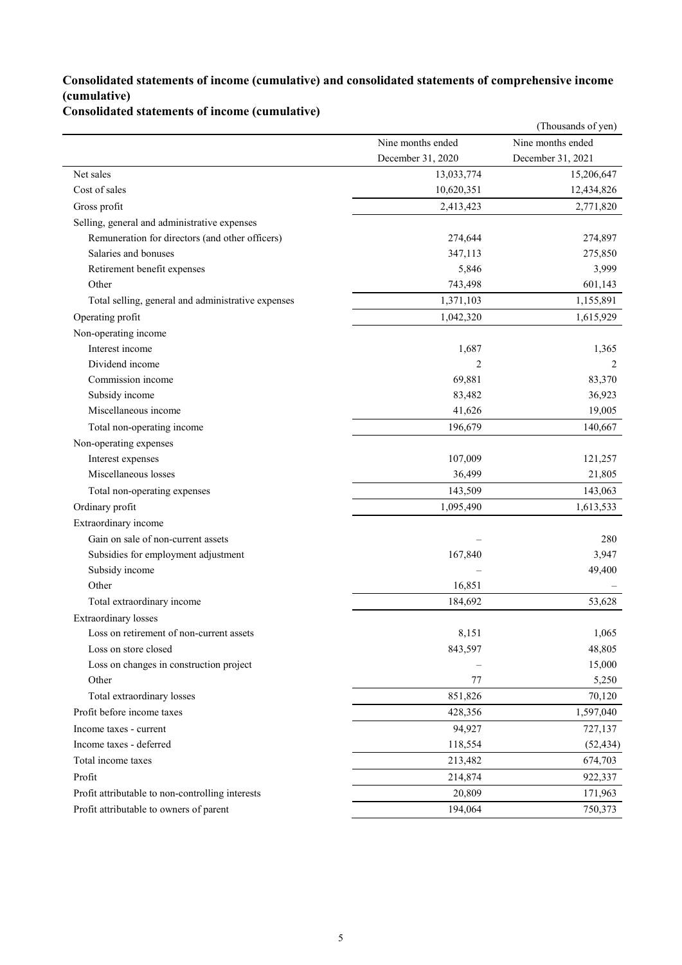### **Consolidated statements of income (cumulative) and consolidated statements of comprehensive income (cumulative)**

**Consolidated statements of income (cumulative)**

|                                                    |                   | (Thousands of yen) |
|----------------------------------------------------|-------------------|--------------------|
|                                                    | Nine months ended | Nine months ended  |
|                                                    | December 31, 2020 | December 31, 2021  |
| Net sales                                          | 13,033,774        | 15,206,647         |
| Cost of sales                                      | 10,620,351        | 12,434,826         |
| Gross profit                                       | 2,413,423         | 2,771,820          |
| Selling, general and administrative expenses       |                   |                    |
| Remuneration for directors (and other officers)    | 274,644           | 274,897            |
| Salaries and bonuses                               | 347,113           | 275,850            |
| Retirement benefit expenses                        | 5,846             | 3,999              |
| Other                                              | 743,498           | 601,143            |
| Total selling, general and administrative expenses | 1,371,103         | 1,155,891          |
| Operating profit                                   | 1,042,320         | 1,615,929          |
| Non-operating income                               |                   |                    |
| Interest income                                    | 1,687             | 1,365              |
| Dividend income                                    | 2                 | 2                  |
| Commission income                                  | 69,881            | 83,370             |
| Subsidy income                                     | 83,482            | 36,923             |
| Miscellaneous income                               | 41,626            | 19,005             |
| Total non-operating income                         | 196,679           | 140,667            |
| Non-operating expenses                             |                   |                    |
| Interest expenses                                  | 107,009           | 121,257            |
| Miscellaneous losses                               | 36,499            | 21,805             |
| Total non-operating expenses                       | 143,509           | 143,063            |
| Ordinary profit                                    | 1,095,490         | 1,613,533          |
| Extraordinary income                               |                   |                    |
| Gain on sale of non-current assets                 |                   | 280                |
| Subsidies for employment adjustment                | 167,840           | 3,947              |
| Subsidy income                                     |                   | 49,400             |
| Other                                              | 16,851            |                    |
| Total extraordinary income                         | 184,692           | 53,628             |
| <b>Extraordinary</b> losses                        |                   |                    |
| Loss on retirement of non-current assets           | 8,151             | 1,065              |
| Loss on store closed                               | 843,597           | 48,805             |
| Loss on changes in construction project            |                   | 15,000             |
| Other                                              | 77                | 5,250              |
| Total extraordinary losses                         | 851,826           | 70,120             |
| Profit before income taxes                         | 428,356           | 1,597,040          |
| Income taxes - current                             | 94,927            | 727,137            |
| Income taxes - deferred                            | 118,554           | (52, 434)          |
| Total income taxes                                 | 213,482           | 674,703            |
| Profit                                             | 214,874           | 922,337            |
| Profit attributable to non-controlling interests   | 20,809            | 171,963            |
| Profit attributable to owners of parent            | 194,064           | 750,373            |
|                                                    |                   |                    |